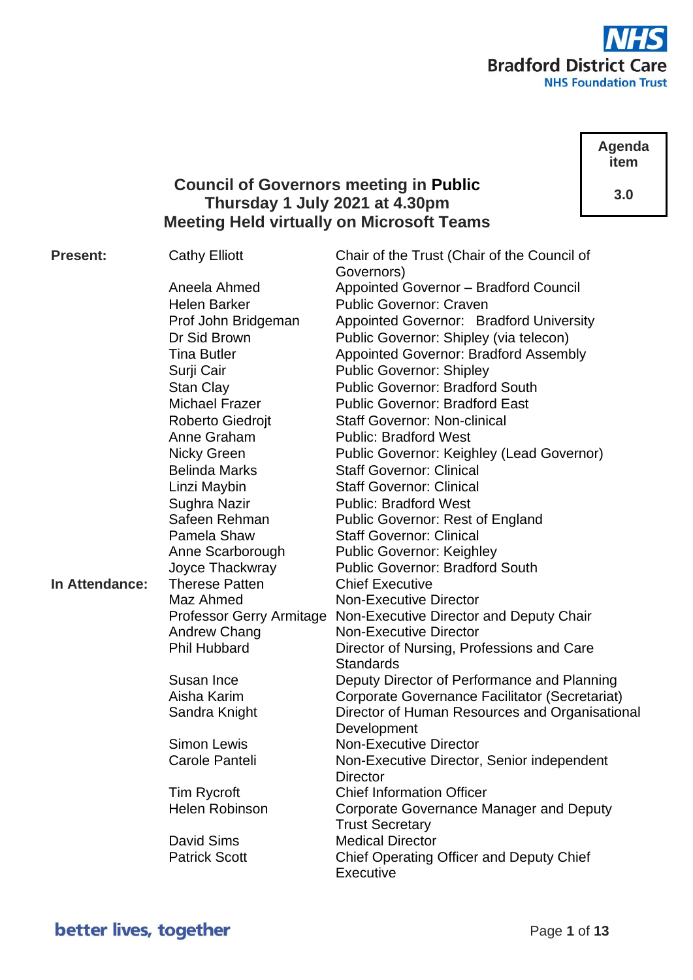

**Agenda item**

**3.0**

# **Council of Governors meeting in Public Thursday 1 July 2021 at 4.30pm Meeting Held virtually on Microsoft Teams**

**Present:** Cathy Elliott Chair of the Trust (Chair of the Council of Governors) Aneela Ahmed Appointed Governor – Bradford Council Helen Barker Public Governor: Craven Prof John Bridgeman Appointed Governor: Bradford University Dr Sid Brown Public Governor: Shipley (via telecon) Tina Butler **Appointed Governor: Bradford Assembly** Surji Cair Public Governor: Shipley Stan Clay **Public Governor: Bradford South** Michael Frazer Public Governor: Bradford East Roberto Giedroit Staff Governor: Non-clinical Anne Graham Public: Bradford West Nicky Green Public Governor: Keighley (Lead Governor) Belinda Marks Staff Governor: Clinical Linzi Maybin Staff Governor: Clinical Sughra Nazir Public: Bradford West Safeen Rehman Public Governor: Rest of England Pamela Shaw Staff Governor: Clinical Anne Scarborough Public Governor: Keighley Joyce Thackwray Public Governor: Bradford South **In Attendance:** Therese Patten Chief Executive Maz Ahmed Non-Executive Director Professor Gerry Armitage Non-Executive Director and Deputy Chair Andrew Chang Non-Executive Director Phil Hubbard Director of Nursing, Professions and Care **Standards** Susan Ince Deputy Director of Performance and Planning Aisha Karim Corporate Governance Facilitator (Secretariat) Sandra Knight **Director of Human Resources and Organisational Development** Simon Lewis Non-Executive Director Carole Panteli Non-Executive Director, Senior independent **Director** Tim Rycroft Chief Information Officer Helen Robinson Corporate Governance Manager and Deputy Trust Secretary David Sims Medical Director Patrick Scott **Chief Operating Officer and Deputy Chief Executive**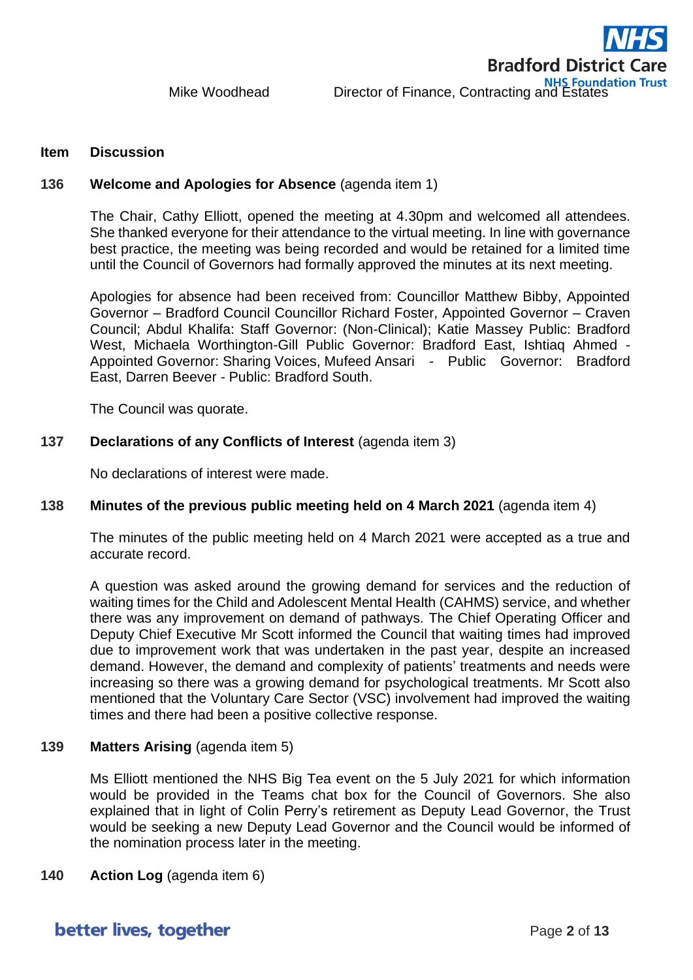#### **Item Discussion**

#### **136 Welcome and Apologies for Absence** (agenda item 1)

The Chair, Cathy Elliott, opened the meeting at 4.30pm and welcomed all attendees. She thanked everyone for their attendance to the virtual meeting. In line with governance best practice, the meeting was being recorded and would be retained for a limited time until the Council of Governors had formally approved the minutes at its next meeting.

Apologies for absence had been received from: Councillor Matthew Bibby, Appointed Governor – Bradford Council Councillor Richard Foster, Appointed Governor – Craven Council; Abdul Khalifa: Staff Governor: (Non-Clinical); Katie Massey Public: Bradford West, Michaela Worthington-Gill Public Governor: Bradford East, Ishtiaq Ahmed - Appointed Governor: Sharing Voices, Mufeed Ansari - Public Governor: Bradford East, Darren Beever - Public: Bradford South.

The Council was quorate.

#### **137 Declarations of any Conflicts of Interest** (agenda item 3)

No declarations of interest were made.

## **138 Minutes of the previous public meeting held on 4 March 2021** (agenda item 4)

The minutes of the public meeting held on 4 March 2021 were accepted as a true and accurate record.

A question was asked around the growing demand for services and the reduction of waiting times for the Child and Adolescent Mental Health (CAHMS) service, and whether there was any improvement on demand of pathways. The Chief Operating Officer and Deputy Chief Executive Mr Scott informed the Council that waiting times had improved due to improvement work that was undertaken in the past year, despite an increased demand. However, the demand and complexity of patients' treatments and needs were increasing so there was a growing demand for psychological treatments. Mr Scott also mentioned that the Voluntary Care Sector (VSC) involvement had improved the waiting times and there had been a positive collective response.

#### **139 Matters Arising** (agenda item 5)

Ms Elliott mentioned the NHS Big Tea event on the 5 July 2021 for which information would be provided in the Teams chat box for the Council of Governors. She also explained that in light of Colin Perry's retirement as Deputy Lead Governor, the Trust would be seeking a new Deputy Lead Governor and the Council would be informed of the nomination process later in the meeting.

#### **140 Action Log** (agenda item 6)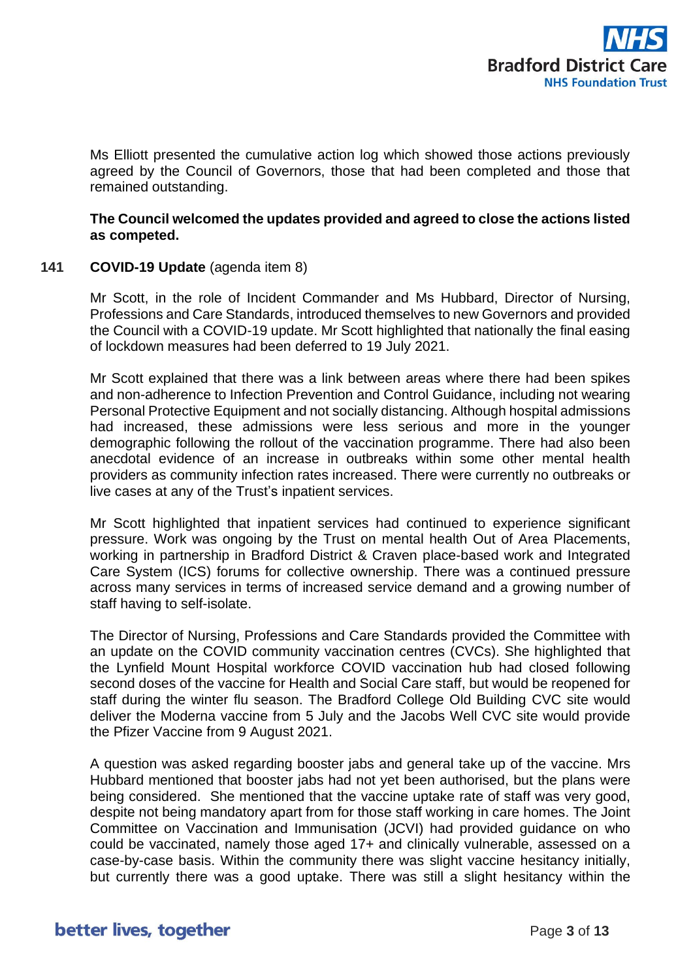

Ms Elliott presented the cumulative action log which showed those actions previously agreed by the Council of Governors, those that had been completed and those that remained outstanding.

**The Council welcomed the updates provided and agreed to close the actions listed as competed.**

## **141 COVID-19 Update** (agenda item 8)

Mr Scott, in the role of Incident Commander and Ms Hubbard, Director of Nursing, Professions and Care Standards, introduced themselves to new Governors and provided the Council with a COVID-19 update. Mr Scott highlighted that nationally the final easing of lockdown measures had been deferred to 19 July 2021.

Mr Scott explained that there was a link between areas where there had been spikes and non-adherence to Infection Prevention and Control Guidance, including not wearing Personal Protective Equipment and not socially distancing. Although hospital admissions had increased, these admissions were less serious and more in the younger demographic following the rollout of the vaccination programme. There had also been anecdotal evidence of an increase in outbreaks within some other mental health providers as community infection rates increased. There were currently no outbreaks or live cases at any of the Trust's inpatient services.

Mr Scott highlighted that inpatient services had continued to experience significant pressure. Work was ongoing by the Trust on mental health Out of Area Placements, working in partnership in Bradford District & Craven place-based work and Integrated Care System (ICS) forums for collective ownership. There was a continued pressure across many services in terms of increased service demand and a growing number of staff having to self-isolate.

The Director of Nursing, Professions and Care Standards provided the Committee with an update on the COVID community vaccination centres (CVCs). She highlighted that the Lynfield Mount Hospital workforce COVID vaccination hub had closed following second doses of the vaccine for Health and Social Care staff, but would be reopened for staff during the winter flu season. The Bradford College Old Building CVC site would deliver the Moderna vaccine from 5 July and the Jacobs Well CVC site would provide the Pfizer Vaccine from 9 August 2021.

A question was asked regarding booster jabs and general take up of the vaccine. Mrs Hubbard mentioned that booster jabs had not yet been authorised, but the plans were being considered. She mentioned that the vaccine uptake rate of staff was very good, despite not being mandatory apart from for those staff working in care homes. The Joint Committee on Vaccination and Immunisation (JCVI) had provided guidance on who could be vaccinated, namely those aged 17+ and clinically vulnerable, assessed on a case-by-case basis. Within the community there was slight vaccine hesitancy initially, but currently there was a good uptake. There was still a slight hesitancy within the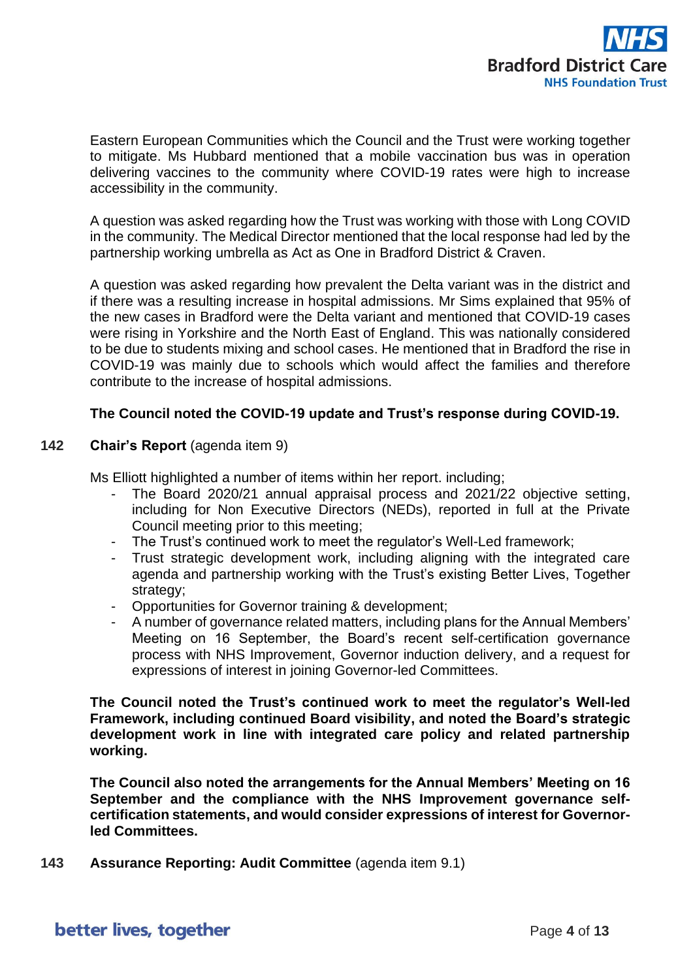

Eastern European Communities which the Council and the Trust were working together to mitigate. Ms Hubbard mentioned that a mobile vaccination bus was in operation delivering vaccines to the community where COVID-19 rates were high to increase accessibility in the community.

A question was asked regarding how the Trust was working with those with Long COVID in the community. The Medical Director mentioned that the local response had led by the partnership working umbrella as Act as One in Bradford District & Craven.

A question was asked regarding how prevalent the Delta variant was in the district and if there was a resulting increase in hospital admissions. Mr Sims explained that 95% of the new cases in Bradford were the Delta variant and mentioned that COVID-19 cases were rising in Yorkshire and the North East of England. This was nationally considered to be due to students mixing and school cases. He mentioned that in Bradford the rise in COVID-19 was mainly due to schools which would affect the families and therefore contribute to the increase of hospital admissions.

## **The Council noted the COVID-19 update and Trust's response during COVID-19.**

#### **142 Chair's Report** (agenda item 9)

Ms Elliott highlighted a number of items within her report. including;

- The Board 2020/21 annual appraisal process and 2021/22 objective setting, including for Non Executive Directors (NEDs), reported in full at the Private Council meeting prior to this meeting;
- The Trust's continued work to meet the regulator's Well-Led framework:
- Trust strategic development work, including aligning with the integrated care agenda and partnership working with the Trust's existing Better Lives, Together strategy;
- Opportunities for Governor training & development;
- A number of governance related matters, including plans for the Annual Members' Meeting on 16 September, the Board's recent self-certification governance process with NHS Improvement, Governor induction delivery, and a request for expressions of interest in joining Governor-led Committees.

**The Council noted the Trust's continued work to meet the regulator's Well-led Framework, including continued Board visibility, and noted the Board's strategic development work in line with integrated care policy and related partnership working.**

**The Council also noted the arrangements for the Annual Members' Meeting on 16 September and the compliance with the NHS Improvement governance selfcertification statements, and would consider expressions of interest for Governorled Committees.**

**143 Assurance Reporting: Audit Committee** (agenda item 9.1)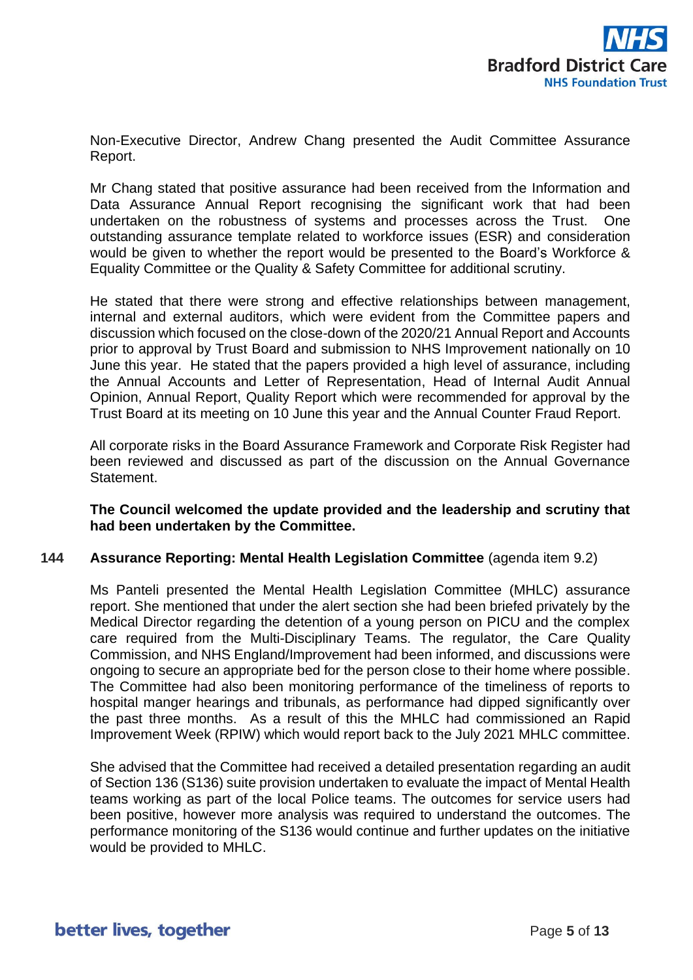

Non-Executive Director, Andrew Chang presented the Audit Committee Assurance Report.

Mr Chang stated that positive assurance had been received from the Information and Data Assurance Annual Report recognising the significant work that had been undertaken on the robustness of systems and processes across the Trust. One outstanding assurance template related to workforce issues (ESR) and consideration would be given to whether the report would be presented to the Board's Workforce & Equality Committee or the Quality & Safety Committee for additional scrutiny.

He stated that there were strong and effective relationships between management, internal and external auditors, which were evident from the Committee papers and discussion which focused on the close-down of the 2020/21 Annual Report and Accounts prior to approval by Trust Board and submission to NHS Improvement nationally on 10 June this year. He stated that the papers provided a high level of assurance, including the Annual Accounts and Letter of Representation, Head of Internal Audit Annual Opinion, Annual Report, Quality Report which were recommended for approval by the Trust Board at its meeting on 10 June this year and the Annual Counter Fraud Report.

All corporate risks in the Board Assurance Framework and Corporate Risk Register had been reviewed and discussed as part of the discussion on the Annual Governance Statement.

## **The Council welcomed the update provided and the leadership and scrutiny that had been undertaken by the Committee.**

#### **144 Assurance Reporting: Mental Health Legislation Committee** (agenda item 9.2)

Ms Panteli presented the Mental Health Legislation Committee (MHLC) assurance report. She mentioned that under the alert section she had been briefed privately by the Medical Director regarding the detention of a young person on PICU and the complex care required from the Multi-Disciplinary Teams. The regulator, the Care Quality Commission, and NHS England/Improvement had been informed, and discussions were ongoing to secure an appropriate bed for the person close to their home where possible. The Committee had also been monitoring performance of the timeliness of reports to hospital manger hearings and tribunals, as performance had dipped significantly over the past three months. As a result of this the MHLC had commissioned an Rapid Improvement Week (RPIW) which would report back to the July 2021 MHLC committee.

She advised that the Committee had received a detailed presentation regarding an audit of Section 136 (S136) suite provision undertaken to evaluate the impact of Mental Health teams working as part of the local Police teams. The outcomes for service users had been positive, however more analysis was required to understand the outcomes. The performance monitoring of the S136 would continue and further updates on the initiative would be provided to MHLC.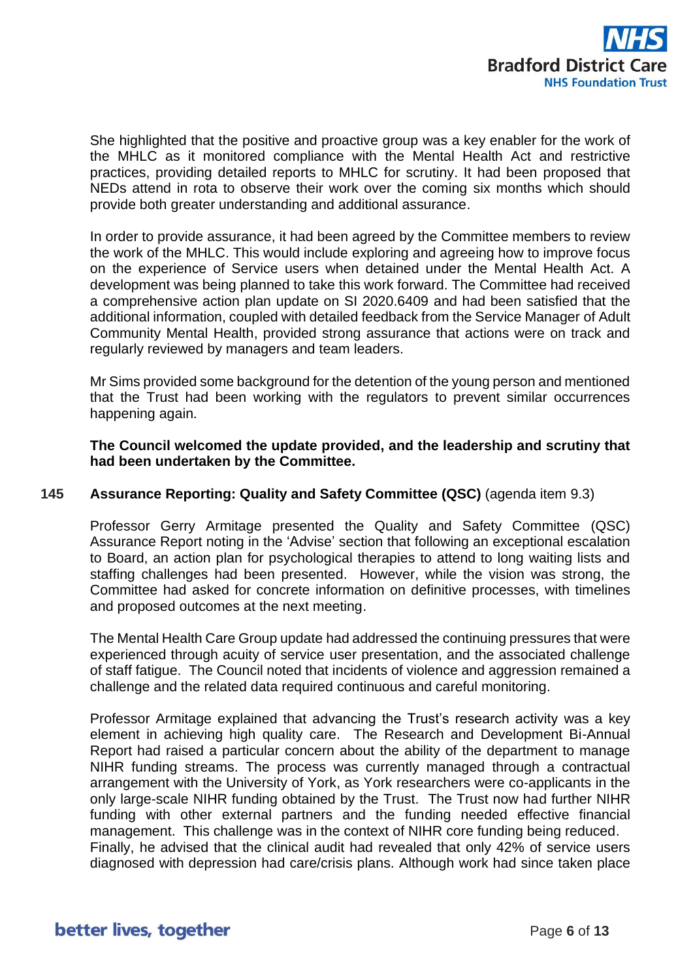

She highlighted that the positive and proactive group was a key enabler for the work of the MHLC as it monitored compliance with the Mental Health Act and restrictive practices, providing detailed reports to MHLC for scrutiny. It had been proposed that NEDs attend in rota to observe their work over the coming six months which should provide both greater understanding and additional assurance.

In order to provide assurance, it had been agreed by the Committee members to review the work of the MHLC. This would include exploring and agreeing how to improve focus on the experience of Service users when detained under the Mental Health Act. A development was being planned to take this work forward. The Committee had received a comprehensive action plan update on SI 2020.6409 and had been satisfied that the additional information, coupled with detailed feedback from the Service Manager of Adult Community Mental Health, provided strong assurance that actions were on track and regularly reviewed by managers and team leaders.

Mr Sims provided some background for the detention of the young person and mentioned that the Trust had been working with the regulators to prevent similar occurrences happening again.

**The Council welcomed the update provided, and the leadership and scrutiny that had been undertaken by the Committee.**

## **145 Assurance Reporting: Quality and Safety Committee (QSC)** (agenda item 9.3)

Professor Gerry Armitage presented the Quality and Safety Committee (QSC) Assurance Report noting in the 'Advise' section that following an exceptional escalation to Board, an action plan for psychological therapies to attend to long waiting lists and staffing challenges had been presented. However, while the vision was strong, the Committee had asked for concrete information on definitive processes, with timelines and proposed outcomes at the next meeting.

The Mental Health Care Group update had addressed the continuing pressures that were experienced through acuity of service user presentation, and the associated challenge of staff fatigue. The Council noted that incidents of violence and aggression remained a challenge and the related data required continuous and careful monitoring.

Professor Armitage explained that advancing the Trust's research activity was a key element in achieving high quality care. The Research and Development Bi-Annual Report had raised a particular concern about the ability of the department to manage NIHR funding streams. The process was currently managed through a contractual arrangement with the University of York, as York researchers were co-applicants in the only large-scale NIHR funding obtained by the Trust. The Trust now had further NIHR funding with other external partners and the funding needed effective financial management. This challenge was in the context of NIHR core funding being reduced. Finally, he advised that the clinical audit had revealed that only 42% of service users diagnosed with depression had care/crisis plans. Although work had since taken place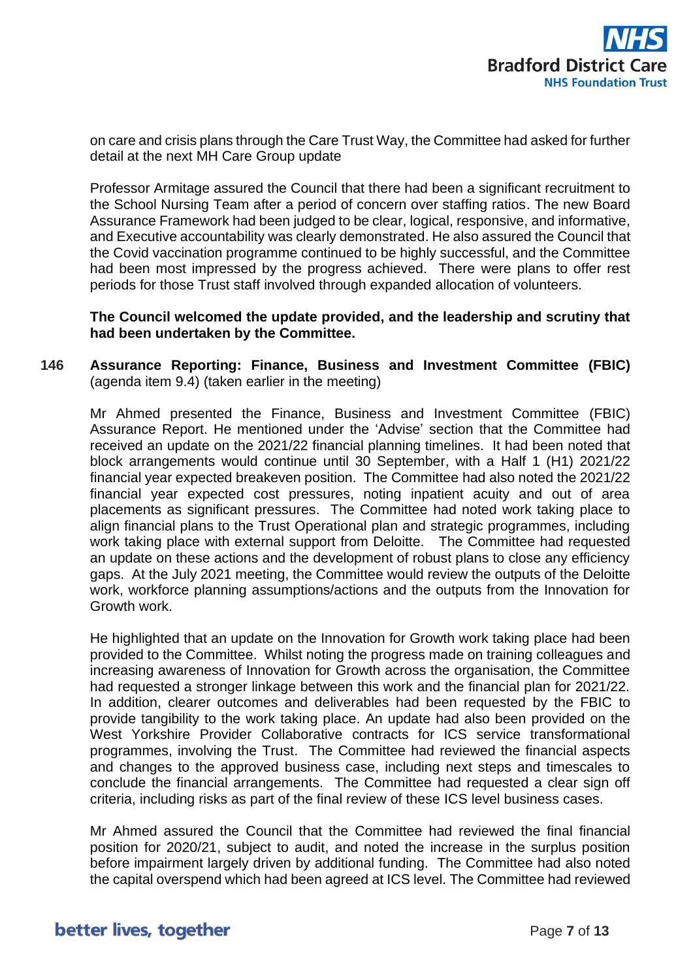

on care and crisis plans through the Care Trust Way, the Committee had asked for further detail at the next MH Care Group update

Professor Armitage assured the Council that there had been a significant recruitment to the School Nursing Team after a period of concern over staffing ratios. The new Board Assurance Framework had been judged to be clear, logical, responsive, and informative, and Executive accountability was clearly demonstrated. He also assured the Council that the Covid vaccination programme continued to be highly successful, and the Committee had been most impressed by the progress achieved. There were plans to offer rest periods for those Trust staff involved through expanded allocation of volunteers.

**The Council welcomed the update provided, and the leadership and scrutiny that had been undertaken by the Committee.**

## **146 Assurance Reporting: Finance, Business and Investment Committee (FBIC)** (agenda item 9.4) (taken earlier in the meeting)

Mr Ahmed presented the Finance, Business and Investment Committee (FBIC) Assurance Report. He mentioned under the 'Advise' section that the Committee had received an update on the 2021/22 financial planning timelines. It had been noted that block arrangements would continue until 30 September, with a Half 1 (H1) 2021/22 financial year expected breakeven position. The Committee had also noted the 2021/22 financial year expected cost pressures, noting inpatient acuity and out of area placements as significant pressures. The Committee had noted work taking place to align financial plans to the Trust Operational plan and strategic programmes, including work taking place with external support from Deloitte. The Committee had requested an update on these actions and the development of robust plans to close any efficiency gaps. At the July 2021 meeting, the Committee would review the outputs of the Deloitte work, workforce planning assumptions/actions and the outputs from the Innovation for Growth work.

He highlighted that an update on the Innovation for Growth work taking place had been provided to the Committee. Whilst noting the progress made on training colleagues and increasing awareness of Innovation for Growth across the organisation, the Committee had requested a stronger linkage between this work and the financial plan for 2021/22. In addition, clearer outcomes and deliverables had been requested by the FBIC to provide tangibility to the work taking place. An update had also been provided on the West Yorkshire Provider Collaborative contracts for ICS service transformational programmes, involving the Trust. The Committee had reviewed the financial aspects and changes to the approved business case, including next steps and timescales to conclude the financial arrangements. The Committee had requested a clear sign off criteria, including risks as part of the final review of these ICS level business cases.

Mr Ahmed assured the Council that the Committee had reviewed the final financial position for 2020/21, subject to audit, and noted the increase in the surplus position before impairment largely driven by additional funding. The Committee had also noted the capital overspend which had been agreed at ICS level. The Committee had reviewed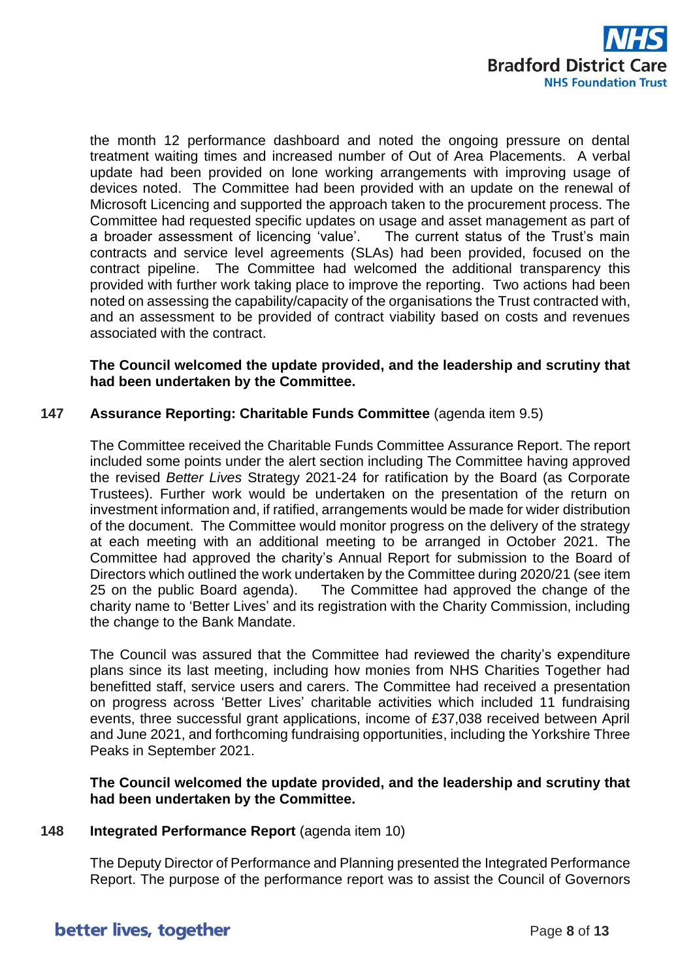

the month 12 performance dashboard and noted the ongoing pressure on dental treatment waiting times and increased number of Out of Area Placements. A verbal update had been provided on lone working arrangements with improving usage of devices noted. The Committee had been provided with an update on the renewal of Microsoft Licencing and supported the approach taken to the procurement process. The Committee had requested specific updates on usage and asset management as part of a broader assessment of licencing 'value'. The current status of the Trust's main contracts and service level agreements (SLAs) had been provided, focused on the contract pipeline. The Committee had welcomed the additional transparency this provided with further work taking place to improve the reporting. Two actions had been noted on assessing the capability/capacity of the organisations the Trust contracted with, and an assessment to be provided of contract viability based on costs and revenues associated with the contract.

#### **The Council welcomed the update provided, and the leadership and scrutiny that had been undertaken by the Committee.**

## **147 Assurance Reporting: Charitable Funds Committee** (agenda item 9.5)

The Committee received the Charitable Funds Committee Assurance Report. The report included some points under the alert section including The Committee having approved the revised *Better Lives* Strategy 2021-24 for ratification by the Board (as Corporate Trustees). Further work would be undertaken on the presentation of the return on investment information and, if ratified, arrangements would be made for wider distribution of the document. The Committee would monitor progress on the delivery of the strategy at each meeting with an additional meeting to be arranged in October 2021. The Committee had approved the charity's Annual Report for submission to the Board of Directors which outlined the work undertaken by the Committee during 2020/21 (see item 25 on the public Board agenda). The Committee had approved the change of the charity name to 'Better Lives' and its registration with the Charity Commission, including the change to the Bank Mandate.

The Council was assured that the Committee had reviewed the charity's expenditure plans since its last meeting, including how monies from NHS Charities Together had benefitted staff, service users and carers. The Committee had received a presentation on progress across 'Better Lives' charitable activities which included 11 fundraising events, three successful grant applications, income of £37,038 received between April and June 2021, and forthcoming fundraising opportunities, including the Yorkshire Three Peaks in September 2021.

## **The Council welcomed the update provided, and the leadership and scrutiny that had been undertaken by the Committee.**

#### **148 Integrated Performance Report** (agenda item 10)

The Deputy Director of Performance and Planning presented the Integrated Performance Report. The purpose of the performance report was to assist the Council of Governors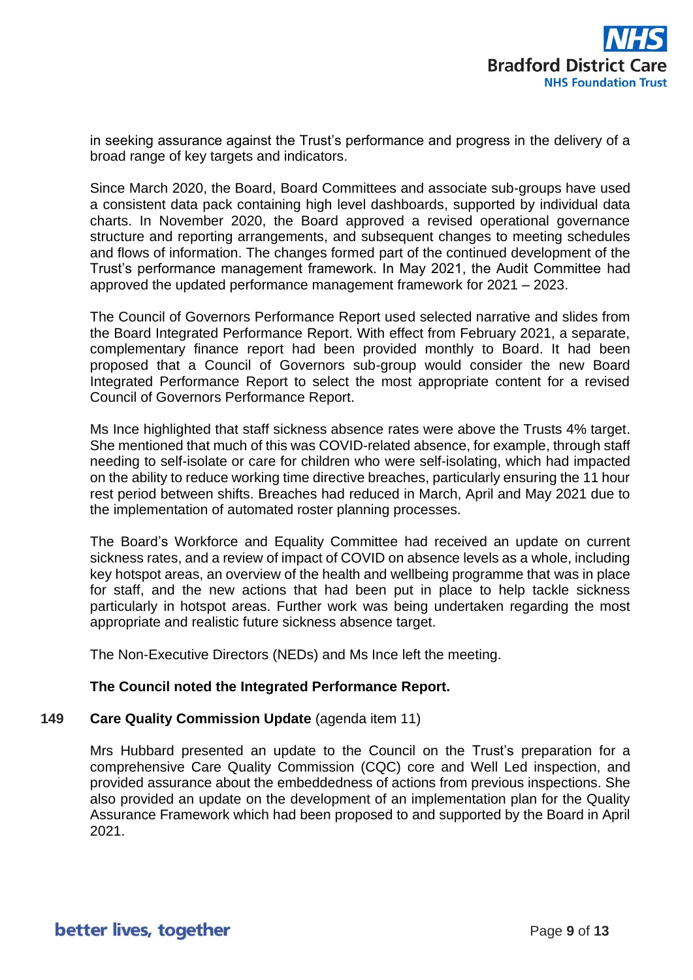

in seeking assurance against the Trust's performance and progress in the delivery of a broad range of key targets and indicators.

Since March 2020, the Board, Board Committees and associate sub-groups have used a consistent data pack containing high level dashboards, supported by individual data charts. In November 2020, the Board approved a revised operational governance structure and reporting arrangements, and subsequent changes to meeting schedules and flows of information. The changes formed part of the continued development of the Trust's performance management framework. In May 2021, the Audit Committee had approved the updated performance management framework for 2021 – 2023.

The Council of Governors Performance Report used selected narrative and slides from the Board Integrated Performance Report. With effect from February 2021, a separate, complementary finance report had been provided monthly to Board. It had been proposed that a Council of Governors sub-group would consider the new Board Integrated Performance Report to select the most appropriate content for a revised Council of Governors Performance Report.

Ms Ince highlighted that staff sickness absence rates were above the Trusts 4% target. She mentioned that much of this was COVID-related absence, for example, through staff needing to self-isolate or care for children who were self-isolating, which had impacted on the ability to reduce working time directive breaches, particularly ensuring the 11 hour rest period between shifts. Breaches had reduced in March, April and May 2021 due to the implementation of automated roster planning processes.

The Board's Workforce and Equality Committee had received an update on current sickness rates, and a review of impact of COVID on absence levels as a whole, including key hotspot areas, an overview of the health and wellbeing programme that was in place for staff, and the new actions that had been put in place to help tackle sickness particularly in hotspot areas. Further work was being undertaken regarding the most appropriate and realistic future sickness absence target.

The Non-Executive Directors (NEDs) and Ms Ince left the meeting.

#### **The Council noted the Integrated Performance Report.**

#### **149 Care Quality Commission Update** (agenda item 11)

Mrs Hubbard presented an update to the Council on the Trust's preparation for a comprehensive Care Quality Commission (CQC) core and Well Led inspection, and provided assurance about the embeddedness of actions from previous inspections. She also provided an update on the development of an implementation plan for the Quality Assurance Framework which had been proposed to and supported by the Board in April 2021.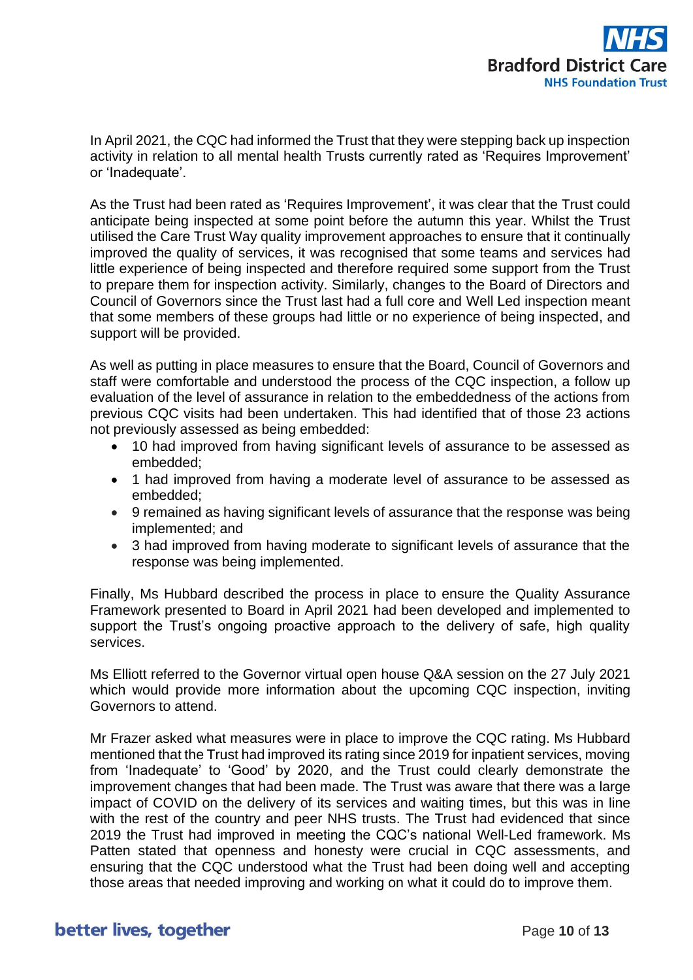

In April 2021, the CQC had informed the Trust that they were stepping back up inspection activity in relation to all mental health Trusts currently rated as 'Requires Improvement' or 'Inadequate'.

As the Trust had been rated as 'Requires Improvement', it was clear that the Trust could anticipate being inspected at some point before the autumn this year. Whilst the Trust utilised the Care Trust Way quality improvement approaches to ensure that it continually improved the quality of services, it was recognised that some teams and services had little experience of being inspected and therefore required some support from the Trust to prepare them for inspection activity. Similarly, changes to the Board of Directors and Council of Governors since the Trust last had a full core and Well Led inspection meant that some members of these groups had little or no experience of being inspected, and support will be provided.

As well as putting in place measures to ensure that the Board, Council of Governors and staff were comfortable and understood the process of the CQC inspection, a follow up evaluation of the level of assurance in relation to the embeddedness of the actions from previous CQC visits had been undertaken. This had identified that of those 23 actions not previously assessed as being embedded:

- 10 had improved from having significant levels of assurance to be assessed as embedded;
- 1 had improved from having a moderate level of assurance to be assessed as embedded;
- 9 remained as having significant levels of assurance that the response was being implemented; and
- 3 had improved from having moderate to significant levels of assurance that the response was being implemented.

Finally, Ms Hubbard described the process in place to ensure the Quality Assurance Framework presented to Board in April 2021 had been developed and implemented to support the Trust's ongoing proactive approach to the delivery of safe, high quality services.

Ms Elliott referred to the Governor virtual open house Q&A session on the 27 July 2021 which would provide more information about the upcoming CQC inspection, inviting Governors to attend.

Mr Frazer asked what measures were in place to improve the CQC rating. Ms Hubbard mentioned that the Trust had improved its rating since 2019 for inpatient services, moving from 'Inadequate' to 'Good' by 2020, and the Trust could clearly demonstrate the improvement changes that had been made. The Trust was aware that there was a large impact of COVID on the delivery of its services and waiting times, but this was in line with the rest of the country and peer NHS trusts. The Trust had evidenced that since 2019 the Trust had improved in meeting the CQC's national Well-Led framework. Ms Patten stated that openness and honesty were crucial in CQC assessments, and ensuring that the CQC understood what the Trust had been doing well and accepting those areas that needed improving and working on what it could do to improve them.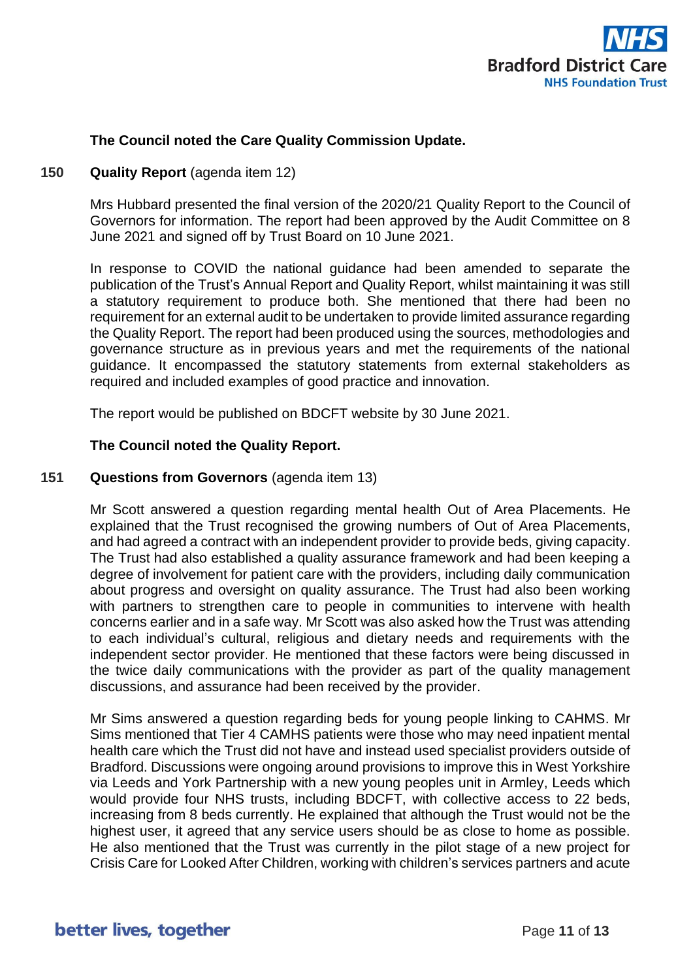

## **The Council noted the Care Quality Commission Update.**

#### **150 Quality Report** (agenda item 12)

Mrs Hubbard presented the final version of the 2020/21 Quality Report to the Council of Governors for information. The report had been approved by the Audit Committee on 8 June 2021 and signed off by Trust Board on 10 June 2021.

In response to COVID the national guidance had been amended to separate the publication of the Trust's Annual Report and Quality Report, whilst maintaining it was still a statutory requirement to produce both. She mentioned that there had been no requirement for an external audit to be undertaken to provide limited assurance regarding the Quality Report. The report had been produced using the sources, methodologies and governance structure as in previous years and met the requirements of the national guidance. It encompassed the statutory statements from external stakeholders as required and included examples of good practice and innovation.

The report would be published on BDCFT website by 30 June 2021.

## **The Council noted the Quality Report.**

## **151 Questions from Governors** (agenda item 13)

Mr Scott answered a question regarding mental health Out of Area Placements. He explained that the Trust recognised the growing numbers of Out of Area Placements, and had agreed a contract with an independent provider to provide beds, giving capacity. The Trust had also established a quality assurance framework and had been keeping a degree of involvement for patient care with the providers, including daily communication about progress and oversight on quality assurance. The Trust had also been working with partners to strengthen care to people in communities to intervene with health concerns earlier and in a safe way. Mr Scott was also asked how the Trust was attending to each individual's cultural, religious and dietary needs and requirements with the independent sector provider. He mentioned that these factors were being discussed in the twice daily communications with the provider as part of the quality management discussions, and assurance had been received by the provider.

Mr Sims answered a question regarding beds for young people linking to CAHMS. Mr Sims mentioned that Tier 4 CAMHS patients were those who may need inpatient mental health care which the Trust did not have and instead used specialist providers outside of Bradford. Discussions were ongoing around provisions to improve this in West Yorkshire via Leeds and York Partnership with a new young peoples unit in Armley, Leeds which would provide four NHS trusts, including BDCFT, with collective access to 22 beds, increasing from 8 beds currently. He explained that although the Trust would not be the highest user, it agreed that any service users should be as close to home as possible. He also mentioned that the Trust was currently in the pilot stage of a new project for Crisis Care for Looked After Children, working with children's services partners and acute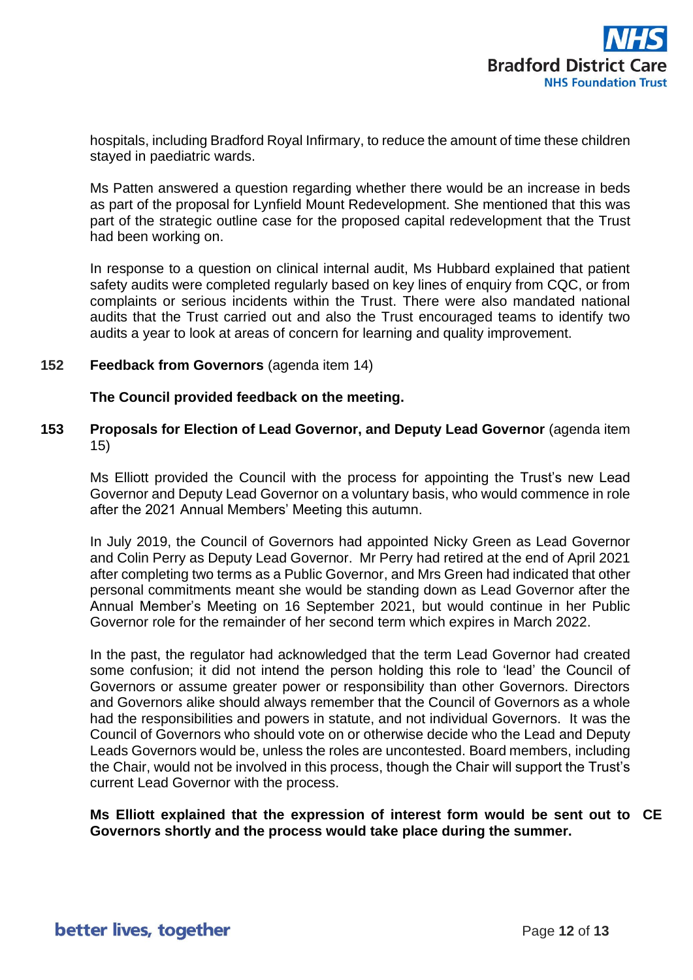

hospitals, including Bradford Royal Infirmary, to reduce the amount of time these children stayed in paediatric wards.

Ms Patten answered a question regarding whether there would be an increase in beds as part of the proposal for Lynfield Mount Redevelopment. She mentioned that this was part of the strategic outline case for the proposed capital redevelopment that the Trust had been working on.

In response to a question on clinical internal audit, Ms Hubbard explained that patient safety audits were completed regularly based on key lines of enquiry from CQC, or from complaints or serious incidents within the Trust. There were also mandated national audits that the Trust carried out and also the Trust encouraged teams to identify two audits a year to look at areas of concern for learning and quality improvement.

#### **152 Feedback from Governors** (agenda item 14)

**The Council provided feedback on the meeting.**

## **153 Proposals for Election of Lead Governor, and Deputy Lead Governor** (agenda item 15)

Ms Elliott provided the Council with the process for appointing the Trust's new Lead Governor and Deputy Lead Governor on a voluntary basis, who would commence in role after the 2021 Annual Members' Meeting this autumn.

In July 2019, the Council of Governors had appointed Nicky Green as Lead Governor and Colin Perry as Deputy Lead Governor. Mr Perry had retired at the end of April 2021 after completing two terms as a Public Governor, and Mrs Green had indicated that other personal commitments meant she would be standing down as Lead Governor after the Annual Member's Meeting on 16 September 2021, but would continue in her Public Governor role for the remainder of her second term which expires in March 2022.

In the past, the regulator had acknowledged that the term Lead Governor had created some confusion; it did not intend the person holding this role to 'lead' the Council of Governors or assume greater power or responsibility than other Governors. Directors and Governors alike should always remember that the Council of Governors as a whole had the responsibilities and powers in statute, and not individual Governors. It was the Council of Governors who should vote on or otherwise decide who the Lead and Deputy Leads Governors would be, unless the roles are uncontested. Board members, including the Chair, would not be involved in this process, though the Chair will support the Trust's current Lead Governor with the process.

**Ms Elliott explained that the expression of interest form would be sent out to CEGovernors shortly and the process would take place during the summer.**